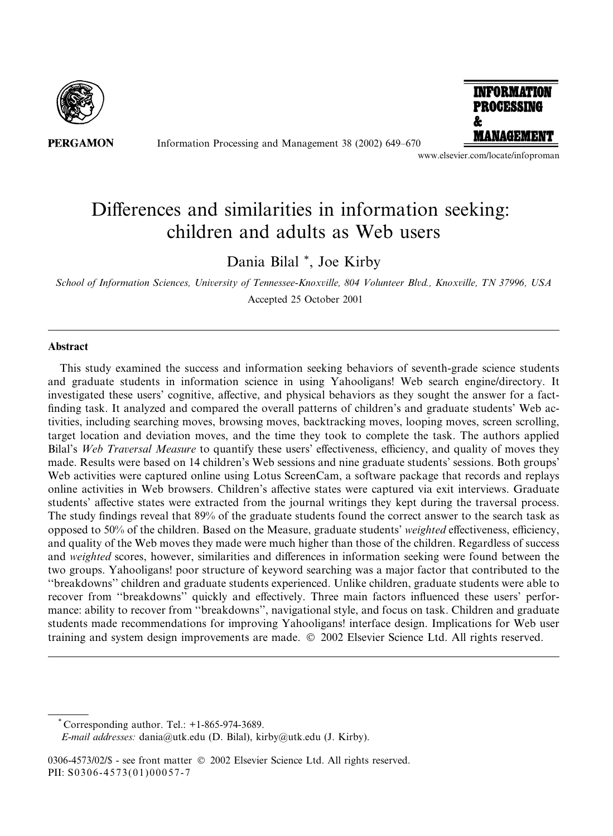

**PERGAMON** 

Information Processing and Management 38 (2002) 649–670



www.elsevier.com/locate/infoproman

# Differences and similarities in information seeking: children and adults as Web users

Dania Bilal \*, Joe Kirby

School of Information Sciences, University of Tennessee-Knoxville, 804 Volunteer Blvd., Knoxville, TN 37996, USA Accepted 25October 2001

#### Abstract

This study examined the success and information seeking behaviors of seventh-grade science students and graduate students in information science in using Yahooligans! Web search engine/directory. It investigated these users' cognitive, affective, and physical behaviors as they sought the answer for a factfinding task. It analyzed and compared the overall patterns of children's and graduate students' Web activities, including searching moves, browsing moves, backtracking moves, looping moves, screen scrolling, target location and deviation moves, and the time they took to complete the task. The authors applied Bilal's Web Traversal Measure to quantify these users' effectiveness, efficiency, and quality of moves they made. Results were based on 14 children's Web sessions and nine graduate students' sessions. Both groups' Web activities were captured online using Lotus ScreenCam, a software package that records and replays online activities in Web browsers. Children's affective states were captured via exit interviews. Graduate students' affective states were extracted from the journal writings they kept during the traversal process. The study findings reveal that 89% of the graduate students found the correct answer to the search task as opposed to 50% of the children. Based on the Measure, graduate students' weighted effectiveness, efficiency, and quality of the Web moves they made were much higher than those of the children. Regardless of success and weighted scores, however, similarities and differences in information seeking were found between the two groups. Yahooligans! poor structure of keyword searching was a major factor that contributed to the ''breakdowns'' children and graduate students experienced. Unlike children, graduate students were able to recover from ''breakdowns'' quickly and effectively. Three main factors influenced these users' performance: ability to recover from ''breakdowns'', navigational style, and focus on task. Children and graduate students made recommendations for improving Yahooligans! interface design. Implications for Web user training and system design improvements are made.  $\oslash$  2002 Elsevier Science Ltd. All rights reserved.

 $^*$  Corresponding author. Tel.:  $+1-865-974-3689$ .

E-mail addresses: dania@utk.edu (D. Bilal), kirby@utk.edu (J. Kirby).

0306-4573/02/\$ - see front matter  $\degree$  2002 Elsevier Science Ltd. All rights reserved. PII: S0306-4573(01)00057-7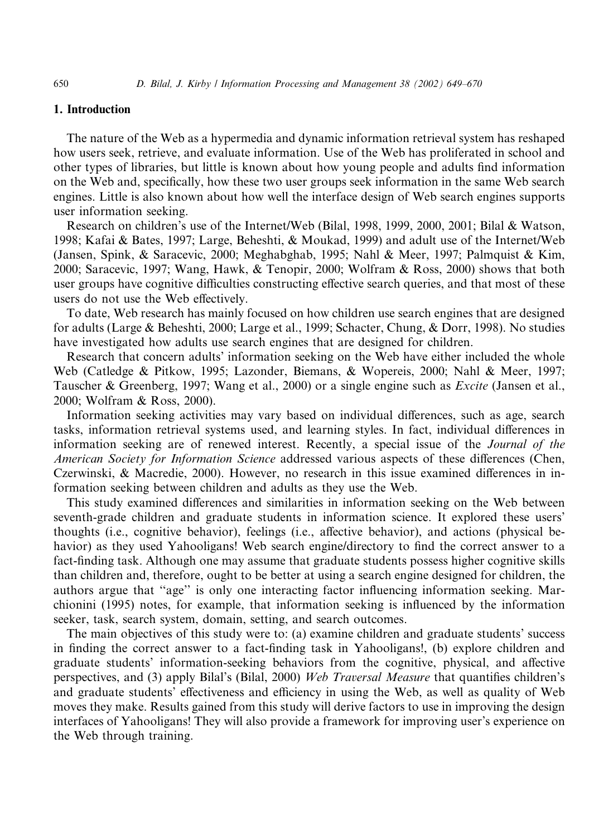# 1. Introduction

The nature of the Web as a hypermedia and dynamic information retrieval system has reshaped how users seek, retrieve, and evaluate information. Use of the Web has proliferated in school and other types of libraries, but little is known about how young people and adults find information on the Web and, specifically, how these two user groups seek information in the same Web search engines. Little is also known about how well the interface design of Web search engines supports user information seeking.

Research on children's use of the Internet/Web (Bilal, 1998, 1999, 2000, 2001; Bilal & Watson, 1998; Kafai & Bates, 1997; Large, Beheshti, & Moukad, 1999) and adult use of the Internet/Web (Jansen, Spink, & Saracevic, 2000; Meghabghab, 1995; Nahl & Meer, 1997; Palmquist & Kim, 2000; Saracevic, 1997; Wang, Hawk, & Tenopir, 2000; Wolfram & Ross, 2000) shows that both user groups have cognitive difficulties constructing effective search queries, and that most of these users do not use the Web effectively.

To date, Web research has mainly focused on how children use search engines that are designed for adults (Large & Beheshti, 2000; Large et al., 1999; Schacter, Chung, & Dorr, 1998). No studies have investigated how adults use search engines that are designed for children.

Research that concern adults' information seeking on the Web have either included the whole Web (Catledge & Pitkow, 1995; Lazonder, Biemans, & Wopereis, 2000; Nahl & Meer, 1997; Tauscher & Greenberg, 1997; Wang et al., 2000) or a single engine such as Excite (Jansen et al., 2000; Wolfram & Ross, 2000).

Information seeking activities may vary based on individual differences, such as age, search tasks, information retrieval systems used, and learning styles. In fact, individual differences in information seeking are of renewed interest. Recently, a special issue of the Journal of the American Society for Information Science addressed various aspects of these differences (Chen, Czerwinski, & Macredie, 2000). However, no research in this issue examined differences in information seeking between children and adults as they use the Web.

This study examined differences and similarities in information seeking on the Web between seventh-grade children and graduate students in information science. It explored these users' thoughts (i.e., cognitive behavior), feelings (i.e., affective behavior), and actions (physical behavior) as they used Yahooligans! Web search engine/directory to find the correct answer to a fact-finding task. Although one may assume that graduate students possess higher cognitive skills than children and, therefore, ought to be better at using a search engine designed for children, the authors argue that ''age'' is only one interacting factor influencing information seeking. Marchionini (1995) notes, for example, that information seeking is influenced by the information seeker, task, search system, domain, setting, and search outcomes.

The main objectives of this study were to: (a) examine children and graduate students' success in finding the correct answer to a fact-finding task in Yahooligans!, (b) explore children and graduate students' information-seeking behaviors from the cognitive, physical, and affective perspectives, and (3) apply Bilal's (Bilal, 2000) Web Traversal Measure that quantifies children's and graduate students' effectiveness and efficiency in using the Web, as well as quality of Web moves they make. Results gained from this study will derive factors to use in improving the design interfaces of Yahooligans! They will also provide a framework for improving user's experience on the Web through training.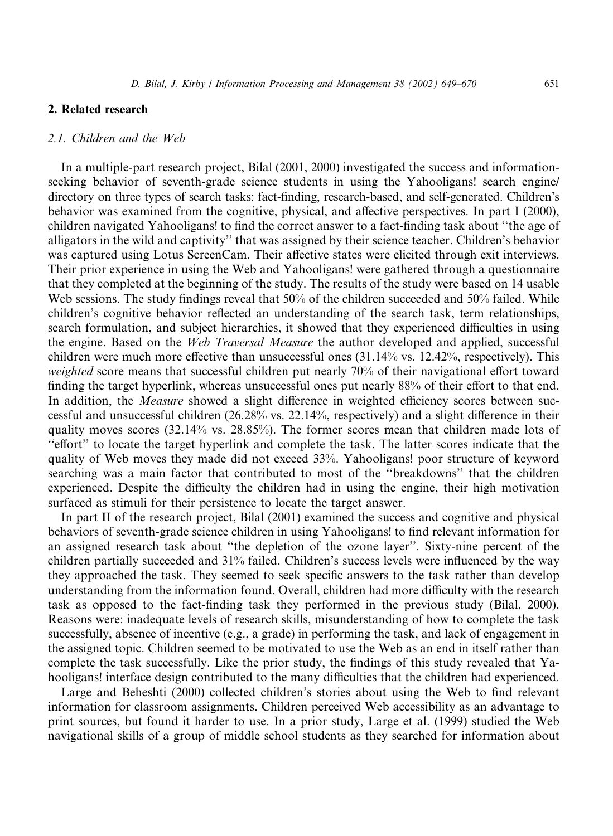# 2. Related research

# 2.1. Children and the Web

In a multiple-part research project, Bilal (2001, 2000) investigated the success and informationseeking behavior of seventh-grade science students in using the Yahooligans! search engine/ directory on three types of search tasks: fact-finding, research-based, and self-generated. Children's behavior was examined from the cognitive, physical, and affective perspectives. In part I (2000), children navigated Yahooligans! to find the correct answer to a fact-finding task about ''the age of alligators in the wild and captivity'' that was assigned by their science teacher. Children's behavior was captured using Lotus ScreenCam. Their affective states were elicited through exit interviews. Their prior experience in using the Web and Yahooligans! were gathered through a questionnaire that they completed at the beginning of the study. The results of the study were based on 14 usable Web sessions. The study findings reveal that 50% of the children succeeded and 50% failed. While children's cognitive behavior reflected an understanding of the search task, term relationships, search formulation, and subject hierarchies, it showed that they experienced difficulties in using the engine. Based on the Web Traversal Measure the author developed and applied, successful children were much more effective than unsuccessful ones (31.14% vs. 12.42%, respectively). This weighted score means that successful children put nearly 70% of their navigational effort toward finding the target hyperlink, whereas unsuccessful ones put nearly 88% of their effort to that end. In addition, the *Measure* showed a slight difference in weighted efficiency scores between successful and unsuccessful children (26.28% vs. 22.14%, respectively) and a slight difference in their quality moves scores (32.14% vs. 28.85%). The former scores mean that children made lots of ''effort'' to locate the target hyperlink and complete the task. The latter scores indicate that the quality of Web moves they made did not exceed 33%. Yahooligans! poor structure of keyword searching was a main factor that contributed to most of the ''breakdowns'' that the children experienced. Despite the difficulty the children had in using the engine, their high motivation surfaced as stimuli for their persistence to locate the target answer.

In part II of the research project, Bilal (2001) examined the success and cognitive and physical behaviors of seventh-grade science children in using Yahooligans! to find relevant information for an assigned research task about ''the depletion of the ozone layer''. Sixty-nine percent of the children partially succeeded and 31% failed. Children's success levels were influenced by the way they approached the task. They seemed to seek specific answers to the task rather than develop understanding from the information found. Overall, children had more difficulty with the research task as opposed to the fact-finding task they performed in the previous study (Bilal, 2000). Reasons were: inadequate levels of research skills, misunderstanding of how to complete the task successfully, absence of incentive (e.g., a grade) in performing the task, and lack of engagement in the assigned topic. Children seemed to be motivated to use the Web as an end in itself rather than complete the task successfully. Like the prior study, the findings of this study revealed that Yahooligans! interface design contributed to the many difficulties that the children had experienced.

Large and Beheshti (2000) collected children's stories about using the Web to find relevant information for classroom assignments. Children perceived Web accessibility as an advantage to print sources, but found it harder to use. In a prior study, Large et al. (1999) studied the Web navigational skills of a group of middle school students as they searched for information about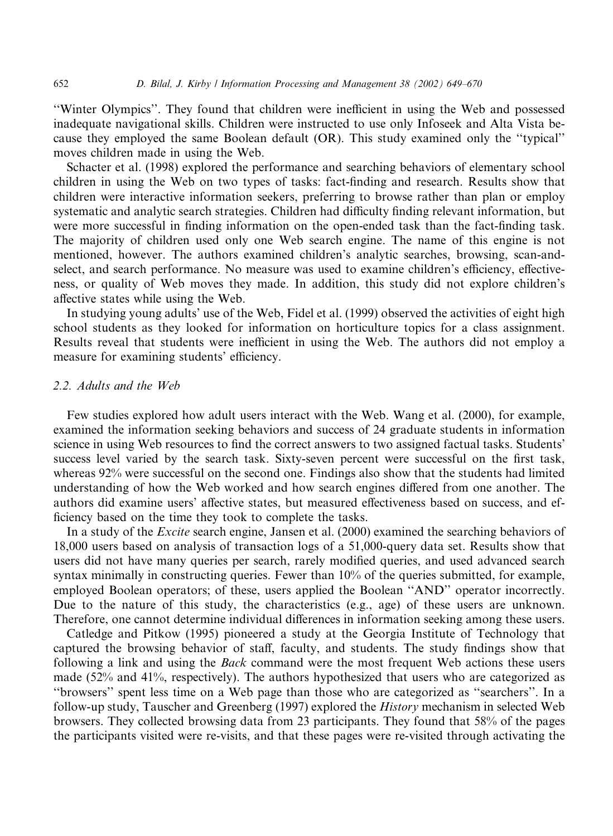''Winter Olympics''. They found that children were inefficient in using the Web and possessed inadequate navigational skills. Children were instructed to use only Infoseek and Alta Vista because they employed the same Boolean default (OR). This study examined only the ''typical'' moves children made in using the Web.

Schacter et al. (1998) explored the performance and searching behaviors of elementary school children in using the Web on two types of tasks: fact-finding and research. Results show that children were interactive information seekers, preferring to browse rather than plan or employ systematic and analytic search strategies. Children had difficulty finding relevant information, but were more successful in finding information on the open-ended task than the fact-finding task. The majority of children used only one Web search engine. The name of this engine is not mentioned, however. The authors examined children's analytic searches, browsing, scan-andselect, and search performance. No measure was used to examine children's efficiency, effectiveness, or quality of Web moves they made. In addition, this study did not explore children's affective states while using the Web.

In studying young adults' use of the Web, Fidel et al. (1999) observed the activities of eight high school students as they looked for information on horticulture topics for a class assignment. Results reveal that students were inefficient in using the Web. The authors did not employ a measure for examining students' efficiency.

# 2.2. Adults and the Web

Few studies explored how adult users interact with the Web. Wang et al. (2000), for example, examined the information seeking behaviors and success of 24 graduate students in information science in using Web resources to find the correct answers to two assigned factual tasks. Students' success level varied by the search task. Sixty-seven percent were successful on the first task, whereas 92% were successful on the second one. Findings also show that the students had limited understanding of how the Web worked and how search engines differed from one another. The authors did examine users' affective states, but measured effectiveness based on success, and efficiency based on the time they took to complete the tasks.

In a study of the Excite search engine, Jansen et al. (2000) examined the searching behaviors of 18,000 users based on analysis of transaction logs of a 51,000-query data set. Results show that users did not have many queries per search, rarely modified queries, and used advanced search syntax minimally in constructing queries. Fewer than 10% of the queries submitted, for example, employed Boolean operators; of these, users applied the Boolean ''AND'' operator incorrectly. Due to the nature of this study, the characteristics (e.g., age) of these users are unknown. Therefore, one cannot determine individual differences in information seeking among these users.

Catledge and Pitkow (1995) pioneered a study at the Georgia Institute of Technology that captured the browsing behavior of staff, faculty, and students. The study findings show that following a link and using the *Back* command were the most frequent Web actions these users made (52% and 41%, respectively). The authors hypothesized that users who are categorized as ''browsers'' spent less time on a Web page than those who are categorized as ''searchers''. In a follow-up study, Tauscher and Greenberg (1997) explored the History mechanism in selected Web browsers. They collected browsing data from 23 participants. They found that 58% of the pages the participants visited were re-visits, and that these pages were re-visited through activating the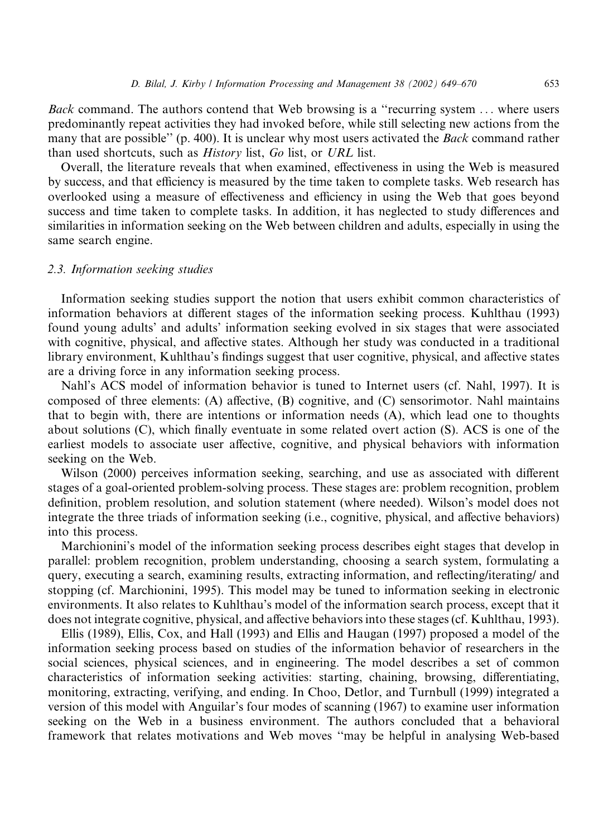Back command. The authors contend that Web browsing is a "recurring system ... where users predominantly repeat activities they had invoked before, while still selecting new actions from the many that are possible'' (p. 400). It is unclear why most users activated the Back command rather than used shortcuts, such as History list, Go list, or URL list.

Overall, the literature reveals that when examined, effectiveness in using the Web is measured by success, and that efficiency is measured by the time taken to complete tasks. Web research has overlooked using a measure of effectiveness and efficiency in using the Web that goes beyond success and time taken to complete tasks. In addition, it has neglected to study differences and similarities in information seeking on the Web between children and adults, especially in using the same search engine.

## 2.3. Information seeking studies

Information seeking studies support the notion that users exhibit common characteristics of information behaviors at different stages of the information seeking process. Kuhlthau (1993) found young adults' and adults' information seeking evolved in six stages that were associated with cognitive, physical, and affective states. Although her study was conducted in a traditional library environment, Kuhlthau's findings suggest that user cognitive, physical, and affective states are a driving force in any information seeking process.

Nahl's ACS model of information behavior is tuned to Internet users (cf. Nahl, 1997). It is composed of three elements: (A) affective, (B) cognitive, and (C) sensorimotor. Nahl maintains that to begin with, there are intentions or information needs (A), which lead one to thoughts about solutions (C), which finally eventuate in some related overt action (S). ACS is one of the earliest models to associate user affective, cognitive, and physical behaviors with information seeking on the Web.

Wilson (2000) perceives information seeking, searching, and use as associated with different stages of a goal-oriented problem-solving process. These stages are: problem recognition, problem definition, problem resolution, and solution statement (where needed). Wilson's model does not integrate the three triads of information seeking (i.e., cognitive, physical, and affective behaviors) into this process.

Marchionini's model of the information seeking process describes eight stages that develop in parallel: problem recognition, problem understanding, choosing a search system, formulating a query, executing a search, examining results, extracting information, and reflecting/iterating/ and stopping (cf. Marchionini, 1995). This model may be tuned to information seeking in electronic environments. It also relates to Kuhlthau's model of the information search process, except that it does not integrate cognitive, physical, and affective behaviors into these stages (cf. Kuhlthau, 1993).

Ellis (1989), Ellis, Cox, and Hall (1993) and Ellis and Haugan (1997) proposed a model of the information seeking process based on studies of the information behavior of researchers in the social sciences, physical sciences, and in engineering. The model describes a set of common characteristics of information seeking activities: starting, chaining, browsing, differentiating, monitoring, extracting, verifying, and ending. In Choo, Detlor, and Turnbull (1999) integrated a version of this model with Anguilar's four modes of scanning (1967) to examine user information seeking on the Web in a business environment. The authors concluded that a behavioral framework that relates motivations and Web moves ''may be helpful in analysing Web-based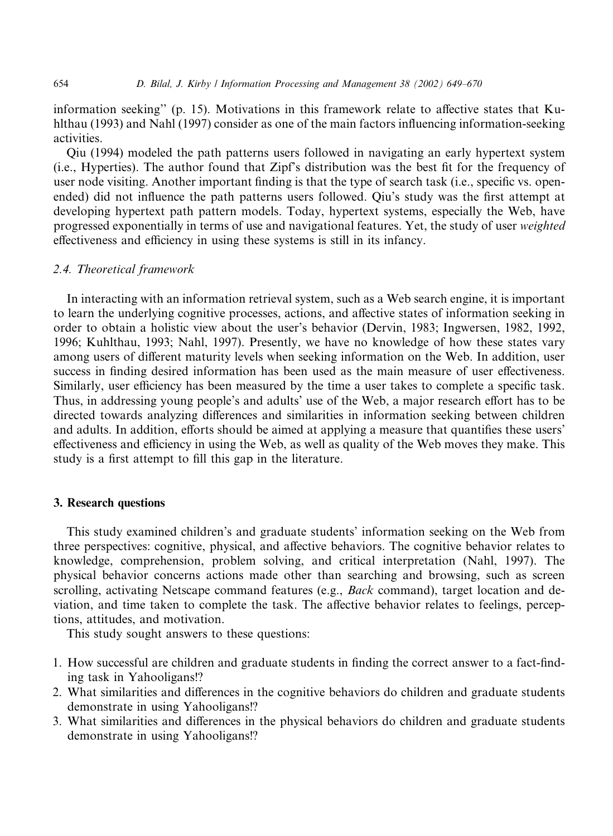information seeking'' (p. 15). Motivations in this framework relate to affective states that Kuhlthau (1993) and Nahl (1997) consider as one of the main factors influencing information-seeking activities.

Qiu (1994) modeled the path patterns users followed in navigating an early hypertext system (i.e., Hyperties). The author found that Zipf's distribution was the best fit for the frequency of user node visiting. Another important finding is that the type of search task (i.e., specific vs. openended) did not influence the path patterns users followed. Qiu's study was the first attempt at developing hypertext path pattern models. Today, hypertext systems, especially the Web, have progressed exponentially in terms of use and navigational features. Yet, the study of user weighted effectiveness and efficiency in using these systems is still in its infancy.

# 2.4. Theoretical framework

In interacting with an information retrieval system, such as a Web search engine, it is important to learn the underlying cognitive processes, actions, and affective states of information seeking in order to obtain a holistic view about the user's behavior (Dervin, 1983; Ingwersen, 1982, 1992, 1996; Kuhlthau, 1993; Nahl, 1997). Presently, we have no knowledge of how these states vary among users of different maturity levels when seeking information on the Web. In addition, user success in finding desired information has been used as the main measure of user effectiveness. Similarly, user efficiency has been measured by the time a user takes to complete a specific task. Thus, in addressing young people's and adults' use of the Web, a major research effort has to be directed towards analyzing differences and similarities in information seeking between children and adults. In addition, efforts should be aimed at applying a measure that quantifies these users' effectiveness and efficiency in using the Web, as well as quality of the Web moves they make. This study is a first attempt to fill this gap in the literature.

# 3. Research questions

This study examined children's and graduate students' information seeking on the Web from three perspectives: cognitive, physical, and affective behaviors. The cognitive behavior relates to knowledge, comprehension, problem solving, and critical interpretation (Nahl, 1997). The physical behavior concerns actions made other than searching and browsing, such as screen scrolling, activating Netscape command features (e.g., *Back* command), target location and deviation, and time taken to complete the task. The affective behavior relates to feelings, perceptions, attitudes, and motivation.

This study sought answers to these questions:

- 1. How successful are children and graduate students in finding the correct answer to a fact-finding task in Yahooligans!?
- 2. What similarities and differences in the cognitive behaviors do children and graduate students demonstrate in using Yahooligans!?
- 3. What similarities and differences in the physical behaviors do children and graduate students demonstrate in using Yahooligans!?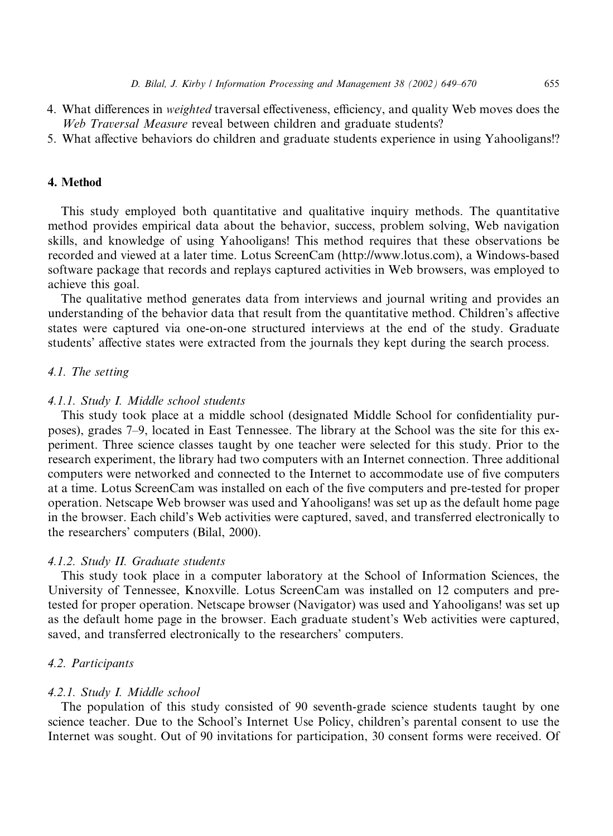- 4. What differences in *weighted* traversal effectiveness, efficiency, and quality Web moves does the Web Traversal Measure reveal between children and graduate students?
- 5. What affective behaviors do children and graduate students experience in using Yahooligans!?

# 4. Method

This study employed both quantitative and qualitative inquiry methods. The quantitative method provides empirical data about the behavior, success, problem solving, Web navigation skills, and knowledge of using Yahooligans! This method requires that these observations be recorded and viewed at a later time. Lotus ScreenCam (http://www.lotus.com), a Windows-based software package that records and replays captured activities in Web browsers, was employed to achieve this goal.

The qualitative method generates data from interviews and journal writing and provides an understanding of the behavior data that result from the quantitative method. Children's affective states were captured via one-on-one structured interviews at the end of the study. Graduate students' affective states were extracted from the journals they kept during the search process.

## 4.1. The setting

# 4.1.1. Study I. Middle school students

This study took place at a middle school (designated Middle School for confidentiality purposes), grades 7–9, located in East Tennessee. The library at the School was the site for this experiment. Three science classes taught by one teacher were selected for this study. Prior to the research experiment, the library had two computers with an Internet connection. Three additional computers were networked and connected to the Internet to accommodate use of five computers at a time. Lotus ScreenCam was installed on each of the five computers and pre-tested for proper operation. Netscape Web browser was used and Yahooligans! was set up as the default home page in the browser. Each child's Web activities were captured, saved, and transferred electronically to the researchers' computers (Bilal, 2000).

## 4.1.2. Study II. Graduate students

This study took place in a computer laboratory at the School of Information Sciences, the University of Tennessee, Knoxville. Lotus ScreenCam was installed on 12 computers and pretested for proper operation. Netscape browser (Navigator) was used and Yahooligans! was set up as the default home page in the browser. Each graduate student's Web activities were captured, saved, and transferred electronically to the researchers' computers.

## 4.2. Participants

## 4.2.1. Study I. Middle school

The population of this study consisted of 90 seventh-grade science students taught by one science teacher. Due to the School's Internet Use Policy, children's parental consent to use the Internet was sought. Out of 90 invitations for participation, 30 consent forms were received. Of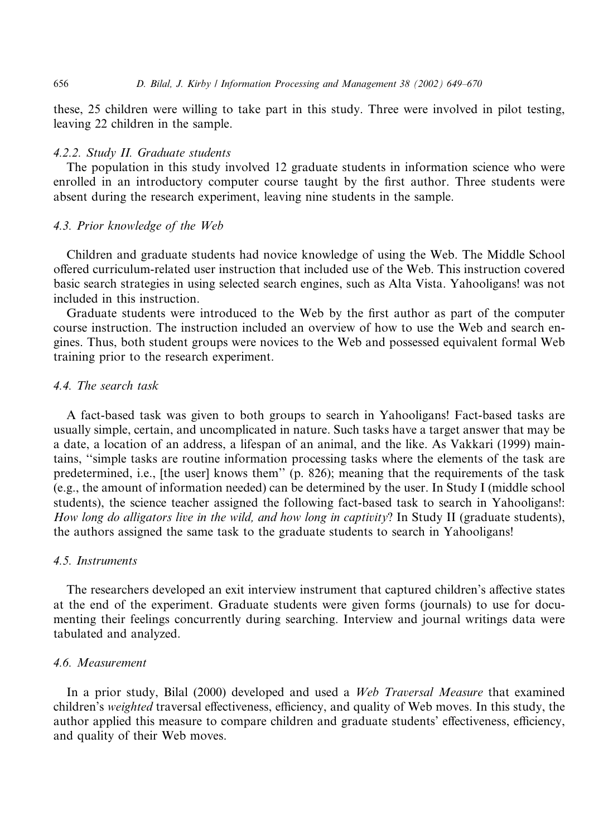these, 25 children were willing to take part in this study. Three were involved in pilot testing, leaving 22 children in the sample.

# 4.2.2. Study II. Graduate students

The population in this study involved 12 graduate students in information science who were enrolled in an introductory computer course taught by the first author. Three students were absent during the research experiment, leaving nine students in the sample.

# 4.3. Prior knowledge of the Web

Children and graduate students had novice knowledge of using the Web. The Middle School offered curriculum-related user instruction that included use of the Web. This instruction covered basic search strategies in using selected search engines, such as Alta Vista. Yahooligans! was not included in this instruction.

Graduate students were introduced to the Web by the first author as part of the computer course instruction. The instruction included an overview of how to use the Web and search engines. Thus, both student groups were novices to the Web and possessed equivalent formal Web training prior to the research experiment.

# 4.4. The search task

A fact-based task was given to both groups to search in Yahooligans! Fact-based tasks are usually simple, certain, and uncomplicated in nature. Such tasks have a target answer that may be a date, a location of an address, a lifespan of an animal, and the like. As Vakkari (1999) maintains, ''simple tasks are routine information processing tasks where the elements of the task are predetermined, i.e., [the user] knows them'' (p. 826); meaning that the requirements of the task (e.g., the amount of information needed) can be determined by the user. In Study I (middle school students), the science teacher assigned the following fact-based task to search in Yahooligans!: How long do alligators live in the wild, and how long in captivity? In Study II (graduate students), the authors assigned the same task to the graduate students to search in Yahooligans!

# 4.5. Instruments

The researchers developed an exit interview instrument that captured children's affective states at the end of the experiment. Graduate students were given forms (journals) to use for documenting their feelings concurrently during searching. Interview and journal writings data were tabulated and analyzed.

# 4.6. Measurement

In a prior study, Bilal (2000) developed and used a *Web Traversal Measure* that examined children's weighted traversal effectiveness, efficiency, and quality of Web moves. In this study, the author applied this measure to compare children and graduate students' effectiveness, efficiency, and quality of their Web moves.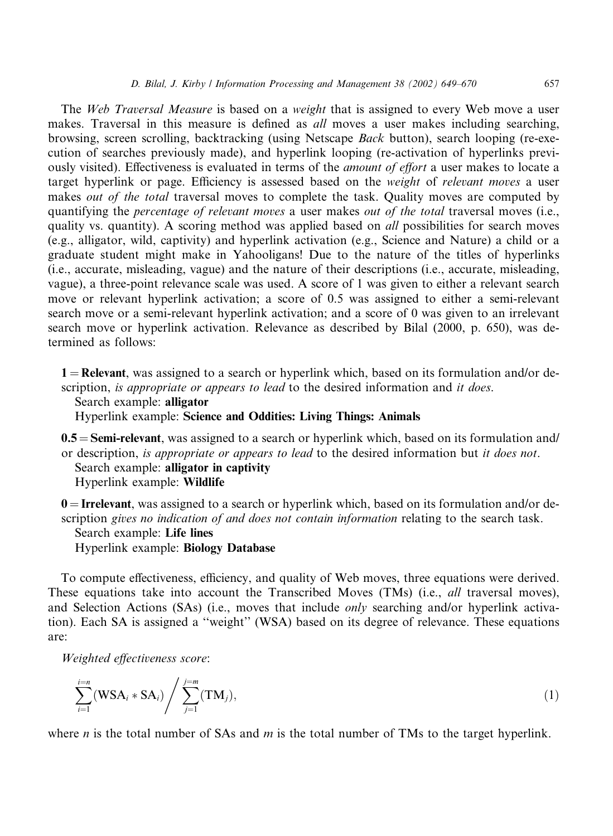The Web Traversal Measure is based on a weight that is assigned to every Web move a user makes. Traversal in this measure is defined as *all* moves a user makes including searching, browsing, screen scrolling, backtracking (using Netscape Back button), search looping (re-execution of searches previously made), and hyperlink looping (re-activation of hyperlinks previously visited). Effectiveness is evaluated in terms of the *amount of effort* a user makes to locate a target hyperlink or page. Efficiency is assessed based on the *weight* of *relevant moves* a user makes *out of the total* traversal moves to complete the task. Quality moves are computed by quantifying the percentage of relevant moves a user makes out of the total traversal moves (i.e., quality vs. quantity). A scoring method was applied based on *all* possibilities for search moves (e.g., alligator, wild, captivity) and hyperlink activation (e.g., Science and Nature) a child or a graduate student might make in Yahooligans! Due to the nature of the titles of hyperlinks (i.e., accurate, misleading, vague) and the nature of their descriptions (i.e., accurate, misleading, vague), a three-point relevance scale was used. A score of 1 was given to either a relevant search move or relevant hyperlink activation; a score of 0.5was assigned to either a semi-relevant search move or a semi-relevant hyperlink activation; and a score of 0 was given to an irrelevant search move or hyperlink activation. Relevance as described by Bilal (2000, p. 650), was determined as follows:

 $1 =$ **Relevant**, was assigned to a search or hyperlink which, based on its formulation and/or description, *is appropriate or appears to lead* to the desired information and *it does*.

Search example: alligator

Hyperlink example: Science and Oddities: Living Things: Animals

 $0.5$  = Semi-relevant, was assigned to a search or hyperlink which, based on its formulation and/ or description, is appropriate or appears to lead to the desired information but it does not. Search example: alligator in captivity Hyperlink example: Wildlife

 $0 =$  Irrelevant, was assigned to a search or hyperlink which, based on its formulation and/or description gives no indication of and does not contain information relating to the search task. Search example: Life lines

Hyperlink example: Biology Database

To compute effectiveness, efficiency, and quality of Web moves, three equations were derived. These equations take into account the Transcribed Moves (TMs) (i.e., all traversal moves), and Selection Actions (SAs) (i.e., moves that include only searching and/or hyperlink activation). Each SA is assigned a ''weight'' (WSA) based on its degree of relevance. These equations are:

Weighted effectiveness score:

$$
\sum_{i=1}^{i=n} (\text{WSA}_i * \text{SA}_i) / \sum_{j=1}^{j=m} (\text{TM}_j), \tag{1}
$$

where  $n$  is the total number of SAs and  $m$  is the total number of TMs to the target hyperlink.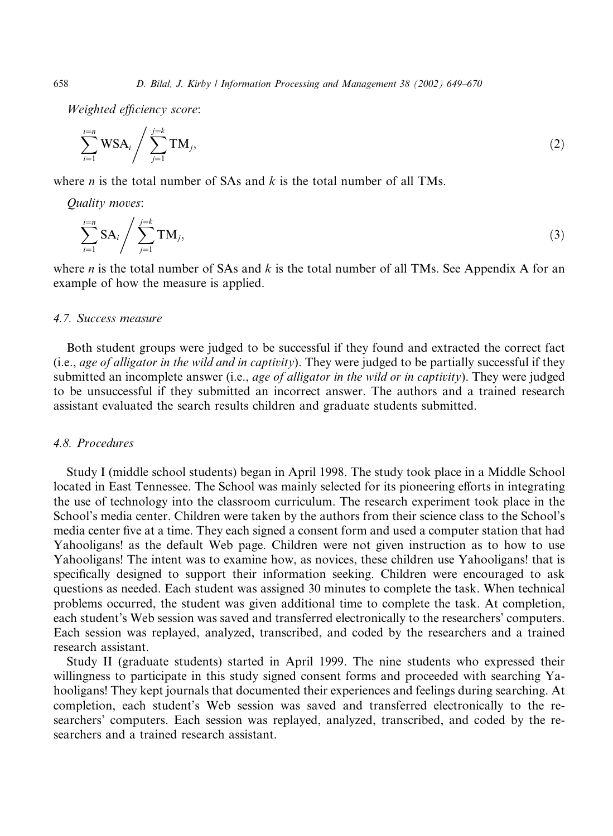Weighted efficiency score:

$$
\sum_{i=1}^{i=n} \text{WSA}_i / \sum_{j=1}^{j=k} \text{TM}_j,
$$
\n(2)

where *n* is the total number of SAs and *k* is the total number of all TMs.

Quality moves:

$$
\sum_{i=1}^{i=n} SA_i / \sum_{j=1}^{j=k} TM_j,
$$
\n(3)

where *n* is the total number of SAs and  $k$  is the total number of all TMs. See Appendix A for an example of how the measure is applied.

## 4.7. Success measure

Both student groups were judged to be successful if they found and extracted the correct fact (i.e., age of alligator in the wild and in captivity). They were judged to be partially successful if they submitted an incomplete answer (i.e., *age of alligator in the wild or in captivity*). They were judged to be unsuccessful if they submitted an incorrect answer. The authors and a trained research assistant evaluated the search results children and graduate students submitted.

## 4.8. Procedures

Study I (middle school students) began in April 1998. The study took place in a Middle School located in East Tennessee. The School was mainly selected for its pioneering efforts in integrating the use of technology into the classroom curriculum. The research experiment took place in the School's media center. Children were taken by the authors from their science class to the School's media center five at a time. They each signed a consent form and used a computer station that had Yahooligans! as the default Web page. Children were not given instruction as to how to use Yahooligans! The intent was to examine how, as novices, these children use Yahooligans! that is specifically designed to support their information seeking. Children were encouraged to ask questions as needed. Each student was assigned 30 minutes to complete the task. When technical problems occurred, the student was given additional time to complete the task. At completion, each student's Web session was saved and transferred electronically to the researchers' computers. Each session was replayed, analyzed, transcribed, and coded by the researchers and a trained research assistant.

Study II (graduate students) started in April 1999. The nine students who expressed their willingness to participate in this study signed consent forms and proceeded with searching Yahooligans! They kept journals that documented their experiences and feelings during searching. At completion, each student's Web session was saved and transferred electronically to the researchers' computers. Each session was replayed, analyzed, transcribed, and coded by the researchers and a trained research assistant.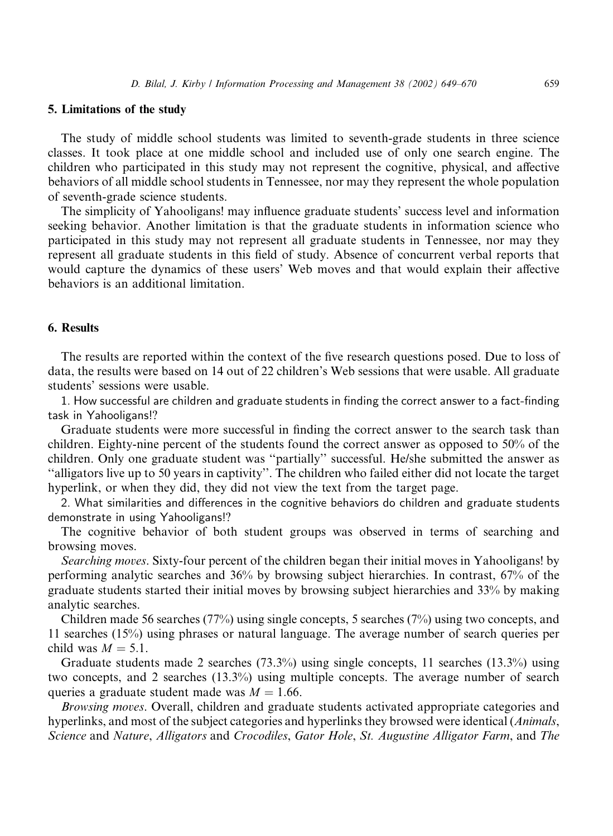# 5. Limitations of the study

The study of middle school students was limited to seventh-grade students in three science classes. It took place at one middle school and included use of only one search engine. The children who participated in this study may not represent the cognitive, physical, and affective behaviors of all middle school students in Tennessee, nor may they represent the whole population of seventh-grade science students.

The simplicity of Yahooligans! may influence graduate students' success level and information seeking behavior. Another limitation is that the graduate students in information science who participated in this study may not represent all graduate students in Tennessee, nor may they represent all graduate students in this field of study. Absence of concurrent verbal reports that would capture the dynamics of these users' Web moves and that would explain their affective behaviors is an additional limitation.

# 6. Results

The results are reported within the context of the five research questions posed. Due to loss of data, the results were based on 14 out of 22 children's Web sessions that were usable. All graduate students' sessions were usable.

1. How successful are children and graduate students in finding the correct answer to a fact-finding task in Yahooligans!?

Graduate students were more successful in finding the correct answer to the search task than children. Eighty-nine percent of the students found the correct answer as opposed to 50% of the children. Only one graduate student was ''partially'' successful. He/she submitted the answer as ''alligators live up to 50 years in captivity''. The children who failed either did not locate the target hyperlink, or when they did, they did not view the text from the target page.

2. What similarities and differences in the cognitive behaviors do children and graduate students demonstrate in using Yahooligans!?

The cognitive behavior of both student groups was observed in terms of searching and browsing moves.

Searching moves. Sixty-four percent of the children began their initial moves in Yahooligans! by performing analytic searches and 36% by browsing subject hierarchies. In contrast, 67% of the graduate students started their initial moves by browsing subject hierarchies and 33% by making analytic searches.

Children made 56 searches (77%) using single concepts, 5 searches (7%) using two concepts, and 11 searches (15%) using phrases or natural language. The average number of search queries per child was  $M = 5.1$ .

Graduate students made 2 searches (73.3%) using single concepts, 11 searches (13.3%) using two concepts, and 2 searches (13.3%) using multiple concepts. The average number of search queries a graduate student made was  $M = 1.66$ .

Browsing moves. Overall, children and graduate students activated appropriate categories and hyperlinks, and most of the subject categories and hyperlinks they browsed were identical (Animals, Science and Nature, Alligators and Crocodiles, Gator Hole, St. Augustine Alligator Farm, and The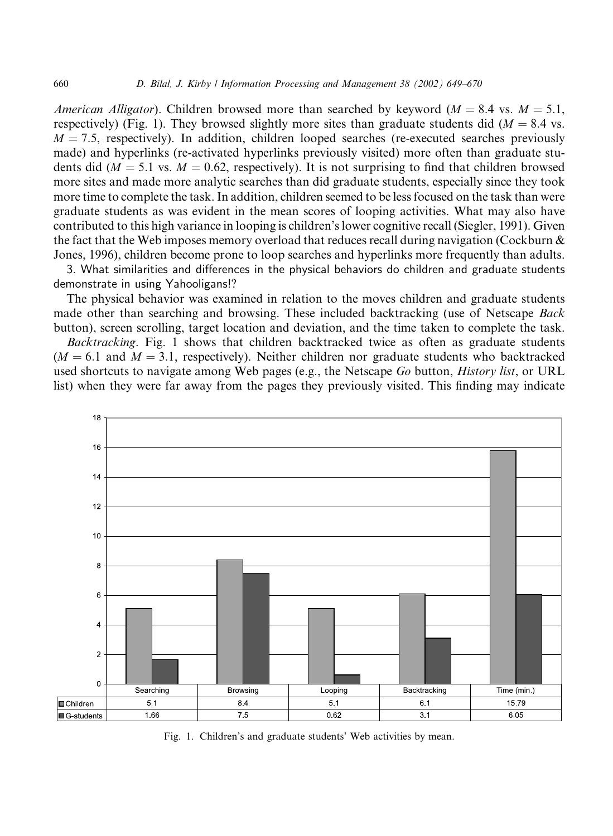American Alligator). Children browsed more than searched by keyword ( $M = 8.4$  vs.  $M = 5.1$ , respectively) (Fig. 1). They browsed slightly more sites than graduate students did ( $M = 8.4$  vs.  $M = 7.5$ , respectively). In addition, children looped searches (re-executed searches previously made) and hyperlinks (re-activated hyperlinks previously visited) more often than graduate students did ( $M = 5.1$  vs.  $M = 0.62$ , respectively). It is not surprising to find that children browsed more sites and made more analytic searches than did graduate students, especially since they took more time to complete the task. In addition, children seemed to be less focused on the task than were graduate students as was evident in the mean scores of looping activities. What may also have contributed to this high variance in looping is children's lower cognitive recall (Siegler, 1991). Given the fact that the Web imposes memory overload that reduces recall during navigation (Cockburn  $\&$ Jones, 1996), children become prone to loop searches and hyperlinks more frequently than adults.

3. What similarities and differences in the physical behaviors do children and graduate students demonstrate in using Yahooligans!?

The physical behavior was examined in relation to the moves children and graduate students made other than searching and browsing. These included backtracking (use of Netscape Back button), screen scrolling, target location and deviation, and the time taken to complete the task.

Backtracking. Fig. 1 shows that children backtracked twice as often as graduate students  $(M = 6.1$  and  $M = 3.1$ , respectively). Neither children nor graduate students who backtracked used shortcuts to navigate among Web pages (e.g., the Netscape Go button, History list, or URL list) when they were far away from the pages they previously visited. This finding may indicate



Fig. 1. Children's and graduate students' Web activities by mean.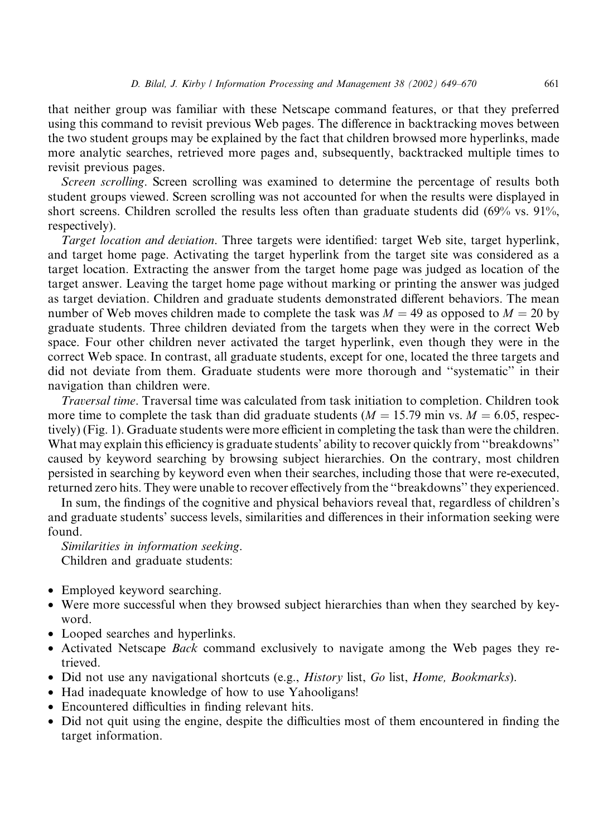that neither group was familiar with these Netscape command features, or that they preferred using this command to revisit previous Web pages. The difference in backtracking moves between the two student groups may be explained by the fact that children browsed more hyperlinks, made more analytic searches, retrieved more pages and, subsequently, backtracked multiple times to revisit previous pages.

Screen scrolling. Screen scrolling was examined to determine the percentage of results both student groups viewed. Screen scrolling was not accounted for when the results were displayed in short screens. Children scrolled the results less often than graduate students did (69% vs. 91%, respectively).

Target location and deviation. Three targets were identified: target Web site, target hyperlink, and target home page. Activating the target hyperlink from the target site was considered as a target location. Extracting the answer from the target home page was judged as location of the target answer. Leaving the target home page without marking or printing the answer was judged as target deviation. Children and graduate students demonstrated different behaviors. The mean number of Web moves children made to complete the task was  $M = 49$  as opposed to  $M = 20$  by graduate students. Three children deviated from the targets when they were in the correct Web space. Four other children never activated the target hyperlink, even though they were in the correct Web space. In contrast, all graduate students, except for one, located the three targets and did not deviate from them. Graduate students were more thorough and ''systematic'' in their navigation than children were.

Traversal time. Traversal time was calculated from task initiation to completion. Children took more time to complete the task than did graduate students ( $M = 15.79$  min vs.  $M = 6.05$ , respectively) (Fig. 1). Graduate students were more efficient in completing the task than were the children. What may explain this efficiency is graduate students' ability to recover quickly from ''breakdowns'' caused by keyword searching by browsing subject hierarchies. On the contrary, most children persisted in searching by keyword even when their searches, including those that were re-executed, returned zero hits. They were unable to recover effectively from the ''breakdowns'' they experienced.

In sum, the findings of the cognitive and physical behaviors reveal that, regardless of children's and graduate students' success levels, similarities and differences in their information seeking were found.

Similarities in information seeking. Children and graduate students:

- Employed keyword searching.
- Were more successful when they browsed subject hierarchies than when they searched by keyword.
- Looped searches and hyperlinks.
- Activated Netscape *Back* command exclusively to navigate among the Web pages they retrieved.
- Did not use any navigational shortcuts (e.g., History list, Go list, Home, Bookmarks).
- Had inadequate knowledge of how to use Yahooligans!
- Encountered difficulties in finding relevant hits.
- Did not quit using the engine, despite the difficulties most of them encountered in finding the target information.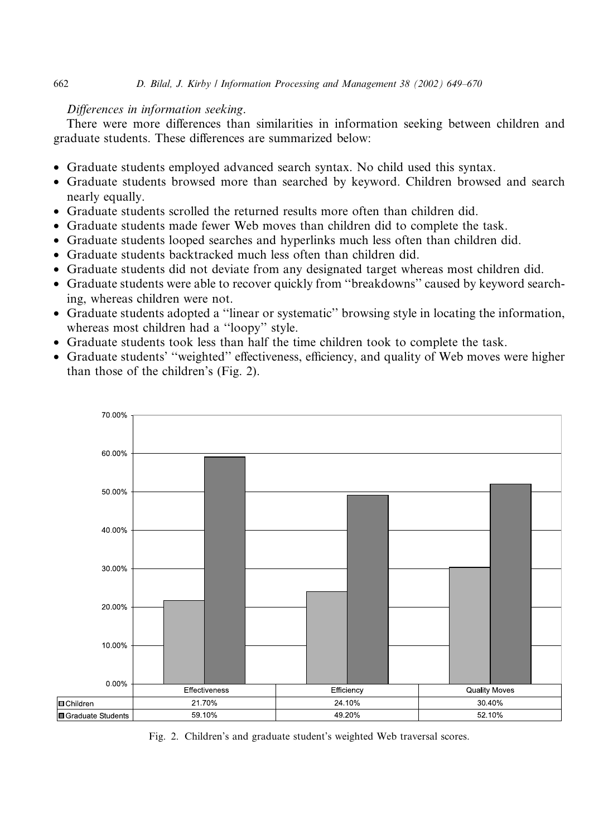# 662 D. Bilal, J. Kirby / Information Processing and Management 38 (2002) 649–670

# Differences in information seeking.

There were more differences than similarities in information seeking between children and graduate students. These differences are summarized below:

- Graduate students employed advanced search syntax. No child used this syntax.
- Graduate students browsed more than searched by keyword. Children browsed and search nearly equally.
- Graduate students scrolled the returned results more often than children did.
- Graduate students made fewer Web moves than children did to complete the task.
- Graduate students looped searches and hyperlinks much less often than children did.
- Graduate students backtracked much less often than children did.
- Graduate students did not deviate from any designated target whereas most children did.
- Graduate students were able to recover quickly from ''breakdowns'' caused by keyword searching, whereas children were not.
- Graduate students adopted a ''linear or systematic'' browsing style in locating the information, whereas most children had a ''loopy'' style.
- Graduate students took less than half the time children took to complete the task.
- Graduate students' ''weighted'' effectiveness, efficiency, and quality of Web moves were higher than those of the children's (Fig. 2).



Fig. 2. Children's and graduate student's weighted Web traversal scores.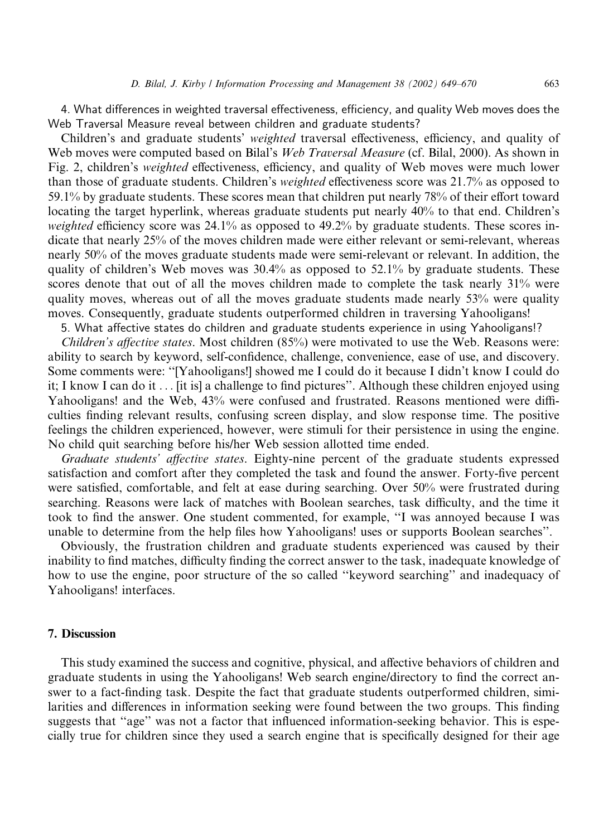4. What differences in weighted traversal effectiveness, efficiency, and quality Web moves does the Web Traversal Measure reveal between children and graduate students?

Children's and graduate students' weighted traversal effectiveness, efficiency, and quality of Web moves were computed based on Bilal's Web Traversal Measure (cf. Bilal, 2000). As shown in Fig. 2, children's weighted effectiveness, efficiency, and quality of Web moves were much lower than those of graduate students. Children's weighted effectiveness score was 21.7% as opposed to 59.1% by graduate students. These scores mean that children put nearly 78% of their effort toward locating the target hyperlink, whereas graduate students put nearly 40% to that end. Children's weighted efficiency score was  $24.1\%$  as opposed to  $49.2\%$  by graduate students. These scores indicate that nearly 25% of the moves children made were either relevant or semi-relevant, whereas nearly 50% of the moves graduate students made were semi-relevant or relevant. In addition, the quality of children's Web moves was 30.4% as opposed to 52.1% by graduate students. These scores denote that out of all the moves children made to complete the task nearly 31% were quality moves, whereas out of all the moves graduate students made nearly 53% were quality moves. Consequently, graduate students outperformed children in traversing Yahooligans!

5. What affective states do children and graduate students experience in using Yahooligans!? Children's affective states. Most children (85%) were motivated to use the Web. Reasons were: ability to search by keyword, self-confidence, challenge, convenience, ease of use, and discovery. Some comments were: ''[Yahooligans!] showed me I could do it because I didn't know I could do it; I know I can do it ... [it is] a challenge to find pictures''. Although these children enjoyed using Yahooligans! and the Web, 43% were confused and frustrated. Reasons mentioned were difficulties finding relevant results, confusing screen display, and slow response time. The positive feelings the children experienced, however, were stimuli for their persistence in using the engine. No child quit searching before his/her Web session allotted time ended.

Graduate students' affective states. Eighty-nine percent of the graduate students expressed satisfaction and comfort after they completed the task and found the answer. Forty-five percent were satisfied, comfortable, and felt at ease during searching. Over 50% were frustrated during searching. Reasons were lack of matches with Boolean searches, task difficulty, and the time it took to find the answer. One student commented, for example, ''I was annoyed because I was unable to determine from the help files how Yahooligans! uses or supports Boolean searches''.

Obviously, the frustration children and graduate students experienced was caused by their inability to find matches, difficulty finding the correct answer to the task, inadequate knowledge of how to use the engine, poor structure of the so called ''keyword searching'' and inadequacy of Yahooligans! interfaces.

## 7. Discussion

This study examined the success and cognitive, physical, and affective behaviors of children and graduate students in using the Yahooligans! Web search engine/directory to find the correct answer to a fact-finding task. Despite the fact that graduate students outperformed children, similarities and differences in information seeking were found between the two groups. This finding suggests that ''age'' was not a factor that influenced information-seeking behavior. This is especially true for children since they used a search engine that is specifically designed for their age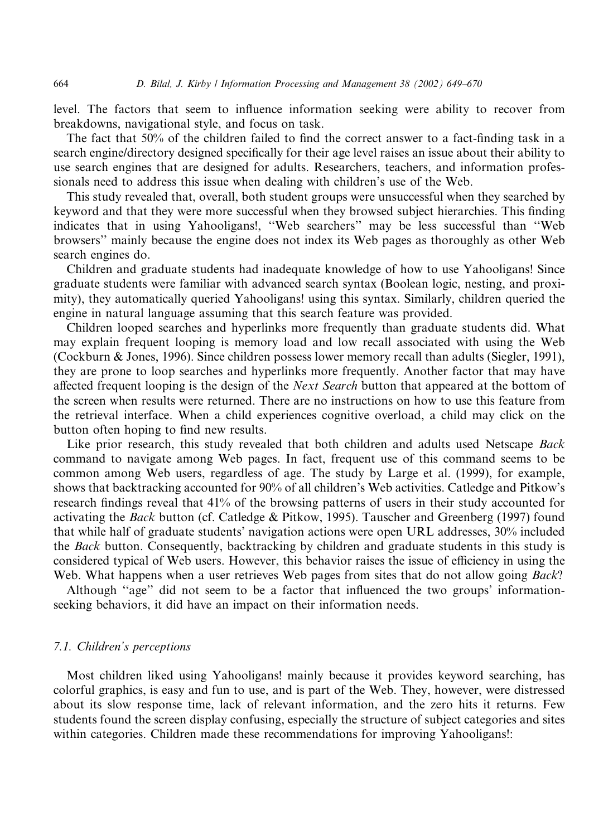level. The factors that seem to influence information seeking were ability to recover from breakdowns, navigational style, and focus on task.

The fact that 50% of the children failed to find the correct answer to a fact-finding task in a search engine/directory designed specifically for their age level raises an issue about their ability to use search engines that are designed for adults. Researchers, teachers, and information professionals need to address this issue when dealing with children's use of the Web.

This study revealed that, overall, both student groups were unsuccessful when they searched by keyword and that they were more successful when they browsed subject hierarchies. This finding indicates that in using Yahooligans!, ''Web searchers'' may be less successful than ''Web browsers'' mainly because the engine does not index its Web pages as thoroughly as other Web search engines do.

Children and graduate students had inadequate knowledge of how to use Yahooligans! Since graduate students were familiar with advanced search syntax (Boolean logic, nesting, and proximity), they automatically queried Yahooligans! using this syntax. Similarly, children queried the engine in natural language assuming that this search feature was provided.

Children looped searches and hyperlinks more frequently than graduate students did. What may explain frequent looping is memory load and low recall associated with using the Web (Cockburn & Jones, 1996). Since children possess lower memory recall than adults (Siegler, 1991), they are prone to loop searches and hyperlinks more frequently. Another factor that may have affected frequent looping is the design of the *Next Search* button that appeared at the bottom of the screen when results were returned. There are no instructions on how to use this feature from the retrieval interface. When a child experiences cognitive overload, a child may click on the button often hoping to find new results.

Like prior research, this study revealed that both children and adults used Netscape *Back* command to navigate among Web pages. In fact, frequent use of this command seems to be common among Web users, regardless of age. The study by Large et al. (1999), for example, shows that backtracking accounted for 90% of all children's Web activities. Catledge and Pitkow's research findings reveal that 41% of the browsing patterns of users in their study accounted for activating the Back button (cf. Catledge & Pitkow, 1995). Tauscher and Greenberg (1997) found that while half of graduate students' navigation actions were open URL addresses, 30% included the *Back* button. Consequently, backtracking by children and graduate students in this study is considered typical of Web users. However, this behavior raises the issue of efficiency in using the Web. What happens when a user retrieves Web pages from sites that do not allow going *Back*?

Although ''age'' did not seem to be a factor that influenced the two groups' informationseeking behaviors, it did have an impact on their information needs.

# 7.1. Children's perceptions

Most children liked using Yahooligans! mainly because it provides keyword searching, has colorful graphics, is easy and fun to use, and is part of the Web. They, however, were distressed about its slow response time, lack of relevant information, and the zero hits it returns. Few students found the screen display confusing, especially the structure of subject categories and sites within categories. Children made these recommendations for improving Yahooligans!: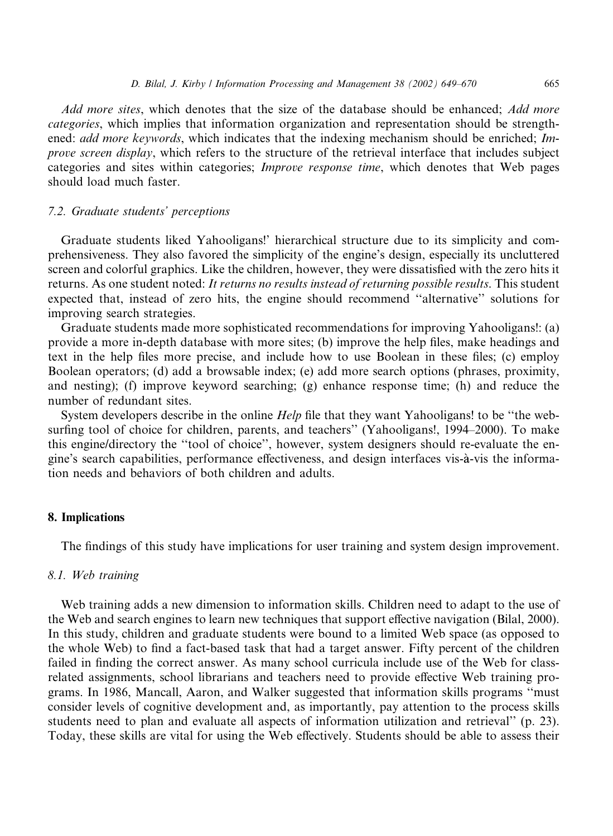Add more sites, which denotes that the size of the database should be enhanced; Add more categories, which implies that information organization and representation should be strengthened: *add more keywords*, which indicates that the indexing mechanism should be enriched; *Im*prove screen display, which refers to the structure of the retrieval interface that includes subject categories and sites within categories; Improve response time, which denotes that Web pages should load much faster.

#### 7.2. Graduate students' perceptions

Graduate students liked Yahooligans!' hierarchical structure due to its simplicity and comprehensiveness. They also favored the simplicity of the engine's design, especially its uncluttered screen and colorful graphics. Like the children, however, they were dissatisfied with the zero hits it returns. As one student noted: It returns no results instead of returning possible results. This student expected that, instead of zero hits, the engine should recommend ''alternative'' solutions for improving search strategies.

Graduate students made more sophisticated recommendations for improving Yahooligans!: (a) provide a more in-depth database with more sites; (b) improve the help files, make headings and text in the help files more precise, and include how to use Boolean in these files; (c) employ Boolean operators; (d) add a browsable index; (e) add more search options (phrases, proximity, and nesting); (f) improve keyword searching; (g) enhance response time; (h) and reduce the number of redundant sites.

System developers describe in the online Help file that they want Yahooligans! to be "the websurfing tool of choice for children, parents, and teachers'' (Yahooligans!, 1994–2000). To make this engine/directory the ''tool of choice'', however, system designers should re-evaluate the engine's search capabilities, performance effectiveness, and design interfaces vis-à-vis the information needs and behaviors of both children and adults.

# 8. Implications

The findings of this study have implications for user training and system design improvement.

## 8.1. Web training

Web training adds a new dimension to information skills. Children need to adapt to the use of the Web and search engines to learn new techniques that support effective navigation (Bilal, 2000). In this study, children and graduate students were bound to a limited Web space (as opposed to the whole Web) to find a fact-based task that had a target answer. Fifty percent of the children failed in finding the correct answer. As many school curricula include use of the Web for classrelated assignments, school librarians and teachers need to provide effective Web training programs. In 1986, Mancall, Aaron, and Walker suggested that information skills programs ''must consider levels of cognitive development and, as importantly, pay attention to the process skills students need to plan and evaluate all aspects of information utilization and retrieval'' (p. 23). Today, these skills are vital for using the Web effectively. Students should be able to assess their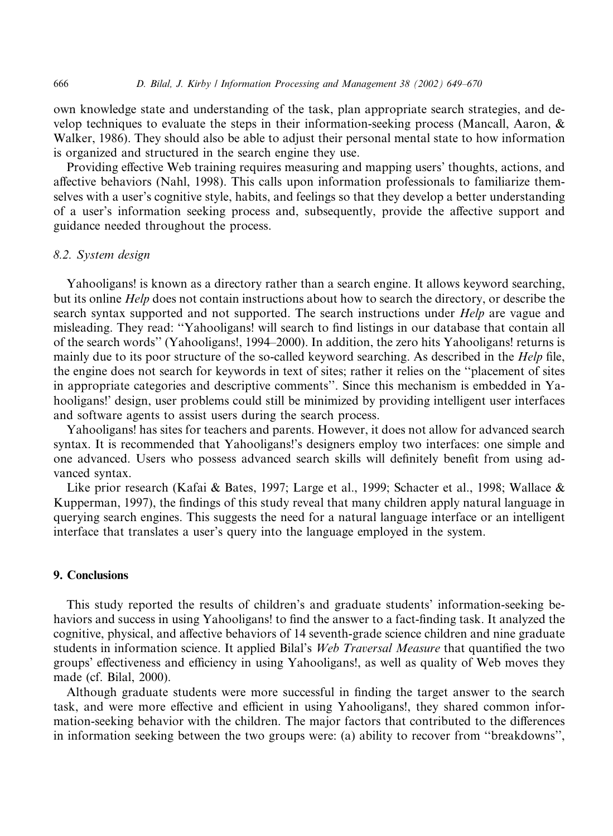own knowledge state and understanding of the task, plan appropriate search strategies, and develop techniques to evaluate the steps in their information-seeking process (Mancall, Aaron, & Walker, 1986). They should also be able to adjust their personal mental state to how information is organized and structured in the search engine they use.

Providing effective Web training requires measuring and mapping users' thoughts, actions, and affective behaviors (Nahl, 1998). This calls upon information professionals to familiarize themselves with a user's cognitive style, habits, and feelings so that they develop a better understanding of a user's information seeking process and, subsequently, provide the affective support and guidance needed throughout the process.

# 8.2. System design

Yahooligans! is known as a directory rather than a search engine. It allows keyword searching, but its online Help does not contain instructions about how to search the directory, or describe the search syntax supported and not supported. The search instructions under *Help* are vague and misleading. They read: ''Yahooligans! will search to find listings in our database that contain all of the search words'' (Yahooligans!, 1994–2000). In addition, the zero hits Yahooligans! returns is mainly due to its poor structure of the so-called keyword searching. As described in the *Help* file, the engine does not search for keywords in text of sites; rather it relies on the ''placement of sites in appropriate categories and descriptive comments''. Since this mechanism is embedded in Yahooligans!' design, user problems could still be minimized by providing intelligent user interfaces and software agents to assist users during the search process.

Yahooligans! has sites for teachers and parents. However, it does not allow for advanced search syntax. It is recommended that Yahooligans!'s designers employ two interfaces: one simple and one advanced. Users who possess advanced search skills will definitely benefit from using advanced syntax.

Like prior research (Kafai & Bates, 1997; Large et al., 1999; Schacter et al., 1998; Wallace & Kupperman, 1997), the findings of this study reveal that many children apply natural language in querying search engines. This suggests the need for a natural language interface or an intelligent interface that translates a user's query into the language employed in the system.

## 9. Conclusions

This study reported the results of children's and graduate students' information-seeking behaviors and success in using Yahooligans! to find the answer to a fact-finding task. It analyzed the cognitive, physical, and affective behaviors of 14 seventh-grade science children and nine graduate students in information science. It applied Bilal's Web Traversal Measure that quantified the two groups' effectiveness and efficiency in using Yahooligans!, as well as quality of Web moves they made (cf. Bilal, 2000).

Although graduate students were more successful in finding the target answer to the search task, and were more effective and efficient in using Yahooligans!, they shared common information-seeking behavior with the children. The major factors that contributed to the differences in information seeking between the two groups were: (a) ability to recover from ''breakdowns'',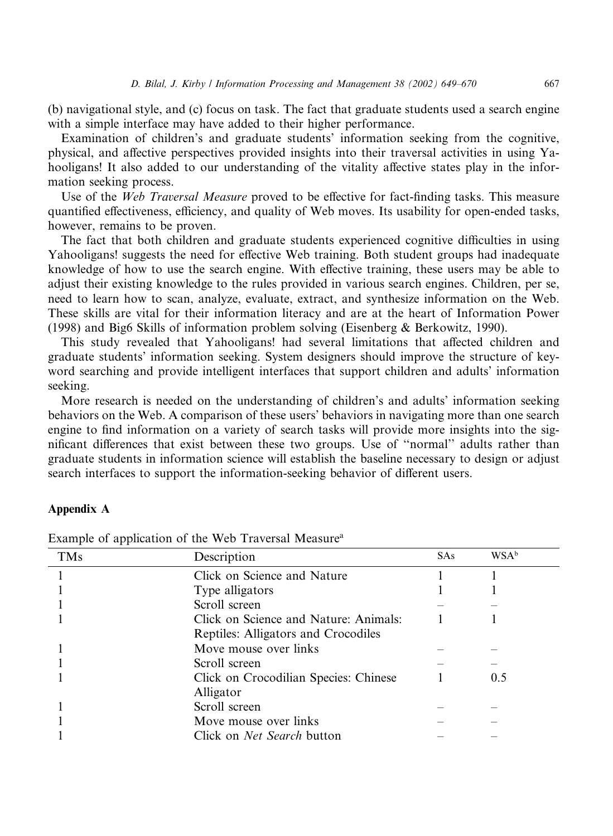(b) navigational style, and (c) focus on task. The fact that graduate students used a search engine with a simple interface may have added to their higher performance.

Examination of children's and graduate students' information seeking from the cognitive, physical, and affective perspectives provided insights into their traversal activities in using Yahooligans! It also added to our understanding of the vitality affective states play in the information seeking process.

Use of the *Web Traversal Measure* proved to be effective for fact-finding tasks. This measure quantified effectiveness, efficiency, and quality of Web moves. Its usability for open-ended tasks, however, remains to be proven.

The fact that both children and graduate students experienced cognitive difficulties in using Yahooligans! suggests the need for effective Web training. Both student groups had inadequate knowledge of how to use the search engine. With effective training, these users may be able to adjust their existing knowledge to the rules provided in various search engines. Children, per se, need to learn how to scan, analyze, evaluate, extract, and synthesize information on the Web. These skills are vital for their information literacy and are at the heart of Information Power (1998) and Big6 Skills of information problem solving (Eisenberg & Berkowitz, 1990).

This study revealed that Yahooligans! had several limitations that affected children and graduate students' information seeking. System designers should improve the structure of keyword searching and provide intelligent interfaces that support children and adults' information seeking.

More research is needed on the understanding of children's and adults' information seeking behaviors on the Web. A comparison of these users' behaviors in navigating more than one search engine to find information on a variety of search tasks will provide more insights into the significant differences that exist between these two groups. Use of ''normal'' adults rather than graduate students in information science will establish the baseline necessary to design or adjust search interfaces to support the information-seeking behavior of different users.

# Appendix A

| <b>TMs</b> | Description                           | SAs | WSA <sup>b</sup> |
|------------|---------------------------------------|-----|------------------|
|            | Click on Science and Nature           |     |                  |
|            | Type alligators                       |     |                  |
|            | Scroll screen                         |     |                  |
|            | Click on Science and Nature: Animals: |     |                  |
|            | Reptiles: Alligators and Crocodiles   |     |                  |
|            | Move mouse over links                 |     |                  |
|            | Scroll screen                         |     |                  |
|            | Click on Crocodilian Species: Chinese |     | 0.5              |
|            | Alligator                             |     |                  |
|            | Scroll screen                         |     |                  |
|            | Move mouse over links                 |     |                  |
|            | Click on <i>Net Search</i> button     |     |                  |

Example of application of the Web Traversal Measure<sup>a</sup>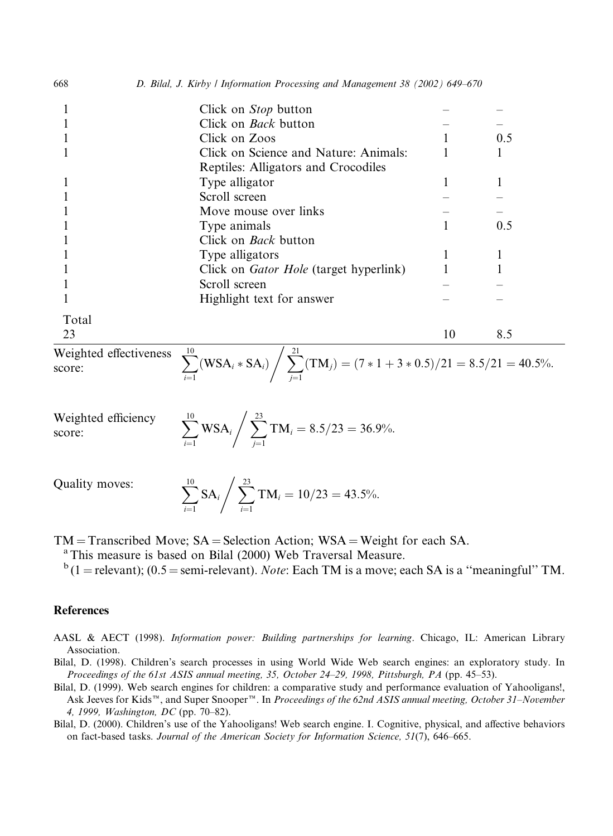|                        | Click on <i>Stop</i> button                                                                                                                                                                                                                                                                                                                                           |    |            |  |
|------------------------|-----------------------------------------------------------------------------------------------------------------------------------------------------------------------------------------------------------------------------------------------------------------------------------------------------------------------------------------------------------------------|----|------------|--|
|                        | Click on <i>Back</i> button                                                                                                                                                                                                                                                                                                                                           |    |            |  |
|                        | Click on Zoos                                                                                                                                                                                                                                                                                                                                                         |    | 0.5        |  |
|                        | Click on Science and Nature: Animals:                                                                                                                                                                                                                                                                                                                                 |    |            |  |
|                        | Reptiles: Alligators and Crocodiles                                                                                                                                                                                                                                                                                                                                   |    |            |  |
|                        | Type alligator                                                                                                                                                                                                                                                                                                                                                        |    |            |  |
|                        | Scroll screen                                                                                                                                                                                                                                                                                                                                                         |    |            |  |
|                        | Move mouse over links                                                                                                                                                                                                                                                                                                                                                 |    |            |  |
|                        | Type animals                                                                                                                                                                                                                                                                                                                                                          |    | 0.5        |  |
|                        | Click on <i>Back</i> button                                                                                                                                                                                                                                                                                                                                           |    |            |  |
|                        | Type alligators                                                                                                                                                                                                                                                                                                                                                       |    |            |  |
|                        | Click on <i>Gator Hole</i> (target hyperlink)                                                                                                                                                                                                                                                                                                                         |    |            |  |
|                        | Scroll screen                                                                                                                                                                                                                                                                                                                                                         |    |            |  |
|                        | Highlight text for answer                                                                                                                                                                                                                                                                                                                                             |    |            |  |
| Total                  |                                                                                                                                                                                                                                                                                                                                                                       |    |            |  |
| 23                     |                                                                                                                                                                                                                                                                                                                                                                       | 10 | 8.5        |  |
| Weighted effectiveness | 10<br>21<br>$\sum_{\text{true}}$<br>$\sum$ ants<br>$\sqrt{2}$ $\sqrt{2}$ $\sqrt{2}$ $\sqrt{2}$ $\sqrt{2}$ $\sqrt{2}$ $\sqrt{2}$ $\sqrt{2}$ $\sqrt{2}$ $\sqrt{2}$ $\sqrt{2}$ $\sqrt{2}$ $\sqrt{2}$ $\sqrt{2}$ $\sqrt{2}$ $\sqrt{2}$ $\sqrt{2}$ $\sqrt{2}$ $\sqrt{2}$ $\sqrt{2}$ $\sqrt{2}$ $\sqrt{2}$ $\sqrt{2}$ $\sqrt{2}$ $\sqrt{2}$ $\sqrt{2}$ $\sqrt{2}$ $\sqrt{2$ |    | $\sqrt{2}$ |  |

Weighted effectiveness  $\sum_{n=1}^{\infty}$ 

Weighted efficiency  $\sum_{n=1}^{\infty}$ 10  $i=1$  $\mathrm{WSA}_i$  $\frac{23}{2}$  $j=1$  $TM_i = 8.5/23 = 36.9\%.$ 

 $(WSA<sub>i</sub> * SA<sub>i</sub>)$ 

 $i=1$ 

**Ouality moves:** 

$$
\sum_{i=1}^{10} SA_i / \sum_{i=1}^{23} TM_i = 10/23 = 43.5\%.
$$

 $j=1$ 

 $(TM_j) = (7 * 1 + 3 * 0.5)/21 = 8.5/21 = 40.5%$ .

 $TM = Transcribed Move; SA = Selection Action; WSA = Weight for each SA.$ <sup>a</sup>This measure is based on Bilal (2000) Web Traversal Measure.

 $b(1)$  = relevant); (0.5 = semi-relevant). Note: Each TM is a move; each SA is a "meaningful" TM.

# **References**

AASL & AECT (1998). Information power: Building partnerships for learning. Chicago, IL: American Library Association.

Bilal, D. (1998). Children's search processes in using World Wide Web search engines: an exploratory study. In Proceedings of the 61st ASIS annual meeting, 35, October 24–29, 1998, Pittsburgh, PA (pp. 45–53).

Bilal, D. (1999). Web search engines for children: a comparative study and performance evaluation of Yahooligans!, Ask Jeeves for Kids<sup> $m$ </sup>, and Super Snooper<sup>m</sup>. In *Proceedings of the 62nd ASIS annual meeting, October 31–November* 4, 1999, Washington, DC (pp. 70–82).

Bilal, D. (2000). Children's use of the Yahooligans! Web search engine. I. Cognitive, physical, and affective behaviors on fact-based tasks. Journal of the American Society for Information Science, 51(7), 646–665.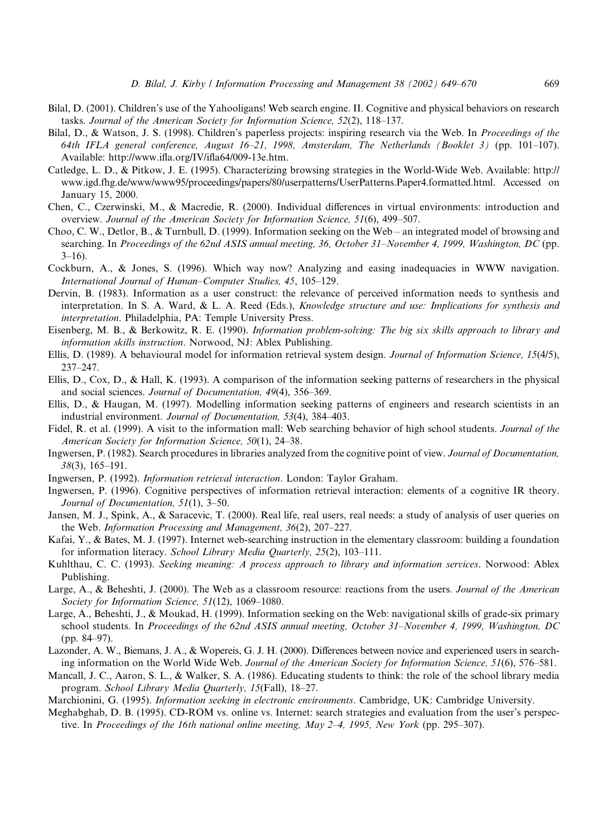- Bilal, D. (2001). Children's use of the Yahooligans! Web search engine. II. Cognitive and physical behaviors on research tasks. Journal of the American Society for Information Science, 52(2), 118–137.
- Bilal, D., & Watson, J. S. (1998). Children's paperless projects: inspiring research via the Web. In *Proceedings of the* 64th IFLA general conference, August 16–21, 1998, Amsterdam, The Netherlands (Booklet 3) (pp. 101–107). Available: http://www.ifla.org/IV/ifla64/009-13e.htm.
- Catledge, L. D., & Pitkow, J. E. (1995). Characterizing browsing strategies in the World-Wide Web. Available: http:// www.igd.fhg.de/www/www95/proceedings/papers/80/userpatterns/UserPatterns.Paper4.formatted.html. Accessed on January 15, 2000.
- Chen, C., Czerwinski, M., & Macredie, R. (2000). Individual differences in virtual environments: introduction and overview. Journal of the American Society for Information Science, 51(6), 499–507.
- Choo, C. W., Detlor, B., & Turnbull, D. (1999). Information seeking on the Web an integrated model of browsing and searching. In Proceedings of the 62nd ASIS annual meeting, 36, October 31–November 4, 1999, Washington, DC (pp.  $3-16$ ).
- Cockburn, A., & Jones, S. (1996). Which way now? Analyzing and easing inadequacies in WWW navigation. International Journal of Human–Computer Studies, 45, 105–129.
- Dervin, B. (1983). Information as a user construct: the relevance of perceived information needs to synthesis and interpretation. In S. A. Ward, & L. A. Reed (Eds.), Knowledge structure and use: Implications for synthesis and interpretation. Philadelphia, PA: Temple University Press.
- Eisenberg, M. B., & Berkowitz, R. E. (1990). Information problem-solving: The big six skills approach to library and information skills instruction. Norwood, NJ: Ablex Publishing.
- Ellis, D. (1989). A behavioural model for information retrieval system design. Journal of Information Science, 15(4/5), 237–247.
- Ellis, D., Cox, D., & Hall, K. (1993). A comparison of the information seeking patterns of researchers in the physical and social sciences. Journal of Documentation, 49(4), 356–369.
- Ellis, D., & Haugan, M. (1997). Modelling information seeking patterns of engineers and research scientists in an industrial environment. Journal of Documentation, 53(4), 384–403.
- Fidel, R. et al. (1999). A visit to the information mall: Web searching behavior of high school students. Journal of the American Society for Information Science, 50(1), 24–38.
- Ingwersen, P. (1982). Search procedures in libraries analyzed from the cognitive point of view. Journal of Documentation, 38(3), 165–191.
- Ingwersen, P. (1992). Information retrieval interaction. London: Taylor Graham.
- Ingwersen, P. (1996). Cognitive perspectives of information retrieval interaction: elements of a cognitive IR theory. Journal of Documentation, 51(1), 3–50.
- Jansen, M. J., Spink, A., & Saracevic, T. (2000). Real life, real users, real needs: a study of analysis of user queries on the Web. Information Processing and Management, 36(2), 207–227.
- Kafai, Y., & Bates, M. J. (1997). Internet web-searching instruction in the elementary classroom: building a foundation for information literacy. School Library Media Quarterly, 25(2), 103–111.
- Kuhlthau, C. C. (1993). Seeking meaning: A process approach to library and information services. Norwood: Ablex Publishing.
- Large, A., & Beheshti, J. (2000). The Web as a classroom resource: reactions from the users. Journal of the American Society for Information Science, 51(12), 1069–1080.
- Large, A., Beheshti, J., & Moukad, H. (1999). Information seeking on the Web: navigational skills of grade-six primary school students. In Proceedings of the 62nd ASIS annual meeting, October 31–November 4, 1999, Washington, DC (pp. 84–97).
- Lazonder, A. W., Biemans, J. A., & Wopereis, G. J. H. (2000). Differences between novice and experienced users in searching information on the World Wide Web. Journal of the American Society for Information Science, 51(6), 576–581.
- Mancall, J. C., Aaron, S. L., & Walker, S. A. (1986). Educating students to think: the role of the school library media program. School Library Media Quarterly, 15(Fall), 18–27.
- Marchionini, G. (1995). Information seeking in electronic environments. Cambridge, UK: Cambridge University.
- Meghabghab, D. B. (1995). CD-ROM vs. online vs. Internet: search strategies and evaluation from the user's perspective. In Proceedings of the 16th national online meeting, May 2–4, 1995, New York (pp. 295–307).